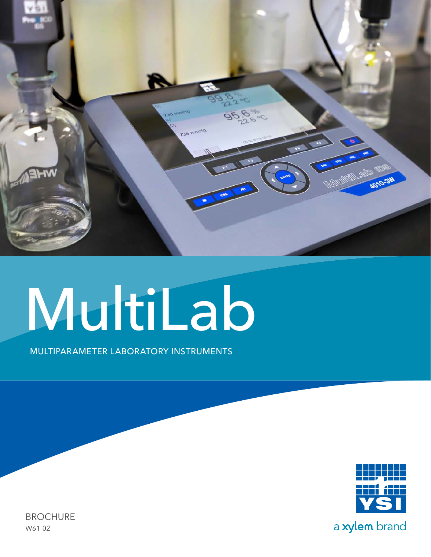

# MultiLab

MULTIPARAMETER LABORATORY INSTRUMENTS



BROCHURE W61-02

a xylem brand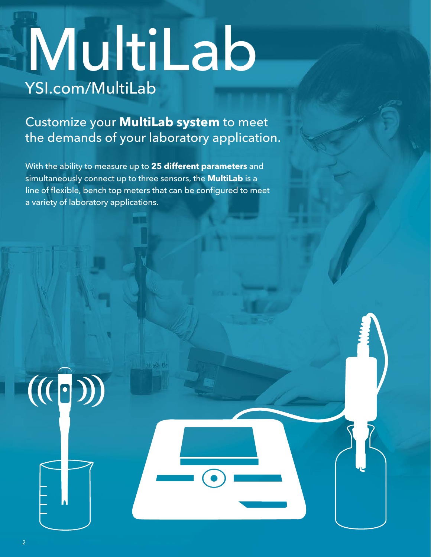## [YSI.com/MultiLab](http://www.ysi.com/multilab) MultiLab

Customize your **MultiLab system** to meet the demands of your laboratory application.

With the ability to measure up to **25 different parameters** and simultaneously connect up to three sensors, the **MultiLab** is a line of flexible, bench top meters that can be configured to meet a variety of laboratory applications.

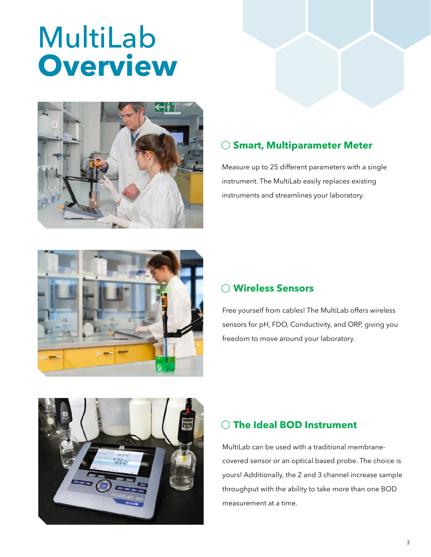## MultiLab **Overview**



#### **Smart, Multiparameter Meter**

Measure up to 25 different parameters with a single instrument. The MultiLab easily replaces existing instruments and streamlines your laboratory.



#### **Wireless Sensors**

Free yourself from cables! The MultiLab offers wireless sensors for pH, FDO, Conductivity, and ORP, giving you freedom to move around your laboratory.



#### **The Ideal BOD Instrument**

MultiLab can be used with a traditional membranecovered sensor or an optical based probe. The choice is yours! Additionally, the 2 and 3 channel increase sample throughput with the ability to take more than one BOD measurement at a time.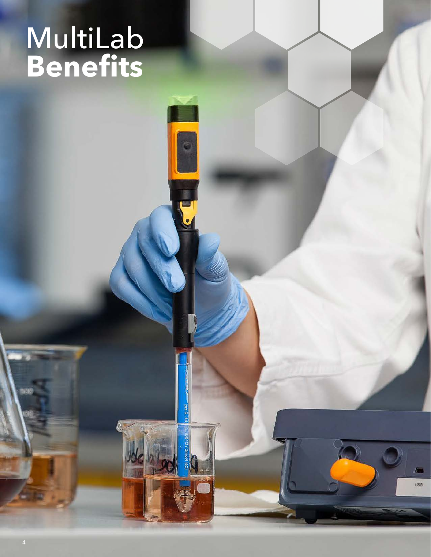## MultiLab **Benefits**

PH 0.14

 $\sqrt{2}$ USB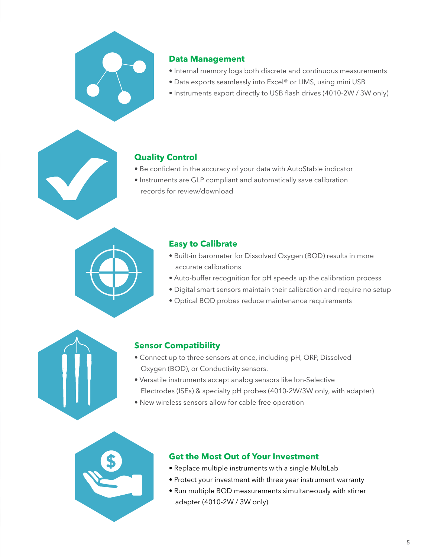

#### **Data Management**

- Internal memory logs both discrete and continuous measurements
- Data exports seamlessly into Excel® or LIMS, using mini USB
- Instruments export directly to USB flash drives (4010-2W / 3W only)

#### **Quality Control**

- Be confident in the accuracy of your data with AutoStable indicator
- Instruments are GLP compliant and automatically save calibration records for review/download



#### **Easy to Calibrate**

- Built-in barometer for Dissolved Oxygen (BOD) results in more accurate calibrations
- Auto-buffer recognition for pH speeds up the calibration process
- Digital smart sensors maintain their calibration and require no setup
- Optical BOD probes reduce maintenance requirements



#### **Sensor Compatibility**

- Connect up to three sensors at once, including pH, ORP, Dissolved Oxygen (BOD), or Conductivity sensors.
- Versatile instruments accept analog sensors like Ion-Selective
- Electrodes (ISEs) & specialty pH probes (4010-2W/3W only, with adapter)
- New wireless sensors allow for cable-free operation



#### **Get the Most Out of Your Investment**

- Replace multiple instruments with a single MultiLab
- Protect your investment with three year instrument warranty
- Run multiple BOD measurements simultaneously with stirrer adapter (4010-2W / 3W only)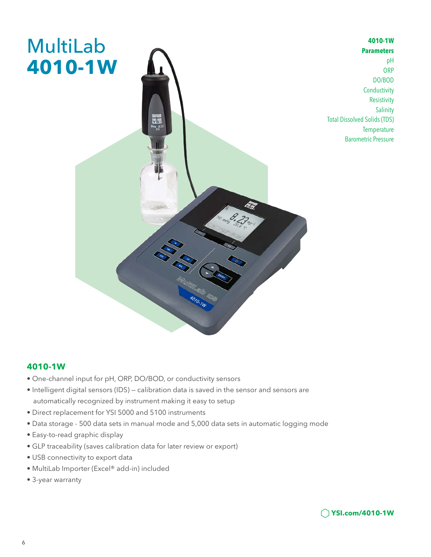

#### **4010-1W**

- One-channel input for pH, ORP, DO/BOD, or conductivity sensors
- Intelligent digital sensors (IDS) calibration data is saved in the sensor and sensors are automatically recognized by instrument making it easy to setup
- Direct replacement for YSI 5000 and 5100 instruments
- Data storage 500 data sets in manual mode and 5,000 data sets in automatic logging mode
- Easy-to-read graphic display
- GLP traceability (saves calibration data for later review or export)
- USB connectivity to export data
- MultiLab Importer (Excel® add-in) included
- 3-year warranty



**4010-1W Parameters**

**Temperature** Barometric Pressure

pH **ORP** DO/BOD **Conductivity** Resistivity Salinity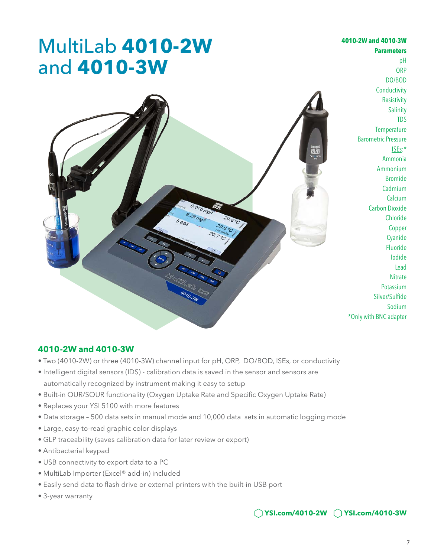#### MultiLab **4010-2W** and **4010-3W Parameters** pH **ORP** DO/BOD **Conductivity Resistivity Salinity** TDS **Temperature** Barometric Pressure ISEs:\* Ammonia Ammonium Bromide Cadmium **Calcium** Carbon Dioxide Chloride Copper Cyanide Fluoride Iodide Lead **Nitrate** Potassium Silver/Sulfide Sodium \*Only with BNC adapter

#### **4010 -2W and 4010-3W**

- Two (4010-2W) or three (4010-3W) channel input for pH, ORP, DO/BOD, ISEs, or conductivity
- Intelligent digital sensors (IDS) calibration data is saved in the sensor and sensors are automatically recognized by instrument making it easy to setup
- Built-in OUR/SOUR functionality (Oxygen Uptake Rate and Specific Oxygen Uptake Rate)
- Replaces your YSI 5100 with more features
- Data storage 500 data sets in manual mode and 10,000 data sets in automatic logging mode
- Large, easy-to-read graphic color displays
- GLP traceability (saves calibration data for later review or export)
- Antibacterial keypad
- USB connectivity to export data to a PC
- MultiLab Importer (Excel® add-in) included
- Easily send data to flash drive or external printers with the built-in USB port
- 3-year warranty

#### **YSI.com/4010-2W YSI.com/4010-3W**

**4010-2W and 4010-3W**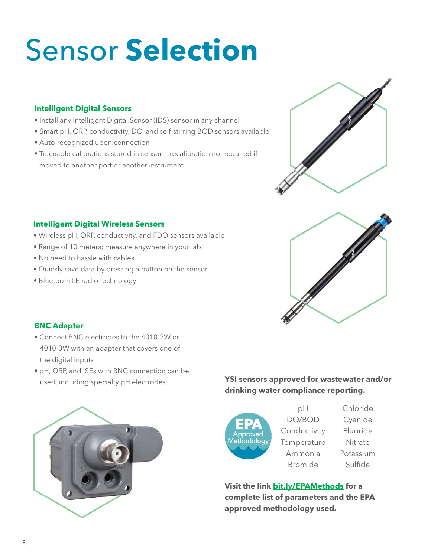## Sensor **Selection**

#### **Intelligent Digital Sensors**

- Install any Intelligent Digital Sensor (IDS) sensor in any channel
- Smart pH, ORP, conductivity, DO, and self-stirring BOD sensors available
- Auto-recognized upon connection
- Traceable calibrations stored in sensor recalibration not required if moved to another port or another instrument



#### **Intelligent Digital Wireless Sensors**

- Wireless pH, ORP, conductivity, and FDO sensors available
- Range of 10 meters; measure anywhere in your lab
- No need to hassle with cables
- Quickly save data by pressing a button on the sensor
- Bluetooth LE radio technology



#### **BNC Adapter**

- Connect BNC electrodes to the 4010-2W or 4010-3W with an adapter that covers one of the digital inputs
- pH, ORP, and ISEs with BNC connection can be used, including specialty pH electrodes



#### **YSI sensors approved for wastewater and/or drinking water compliance reporting.**



pH DO/BOD Conductivity **Temperature** Ammonia Bromide

Chloride Cyanide Fluoride Nitrate Potassium Sulfide

**Visit the link [bit.ly/EPAMethods](https://www.ysi.com/File%20Library/Documents/News%20Briefs/NB13-0116-01-EPA-Approved-Methods.pdf) for a complete list of parameters and the EPA approved methodology used.**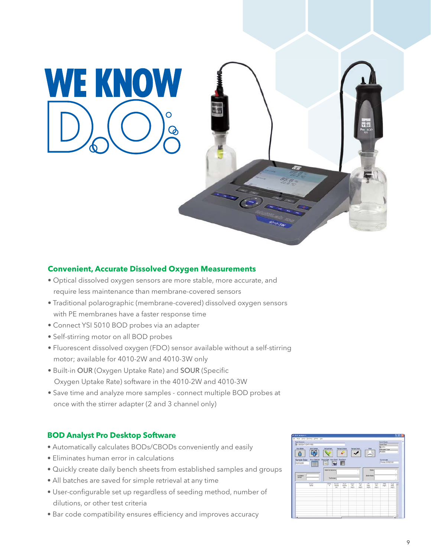**WE KNOW** 



#### **Convenient, Accurate Dissolved Oxygen Measurements**

- Optical dissolved oxygen sensors are more stable, more accurate, and require less maintenance than membrane-covered sensors
- Traditional polarographic (membrane-covered) dissolved oxygen sensors with PE membranes have a faster response time
- Connect YSI 5010 BOD probes via an adapter
- Self-stirring motor on all BOD probes
- Fluorescent dissolved oxygen (FDO) sensor available without a self-stirring motor; available for 4010-2W and 4010-3W only
- Built-in OUR (Oxygen Uptake Rate) and SOUR (Specific Oxygen Uptake Rate) software in the 4010-2W and 4010-3W
- Save time and analyze more samples connect multiple BOD probes at once with the stirrer adapter (2 and 3 channel only)

#### **BOD Analyst Pro Desktop Software**

- Automatically calculates BODs/CBODs conveniently and easily
- Eliminates human error in calculations
- Quickly create daily bench sheets from established samples and groups
- All batches are saved for simple retrieval at any time
- User-configurable set up regardless of seeding method, number of dilutions, or other test criteria
- Bar code compatibility ensures efficiency and improves accuracy

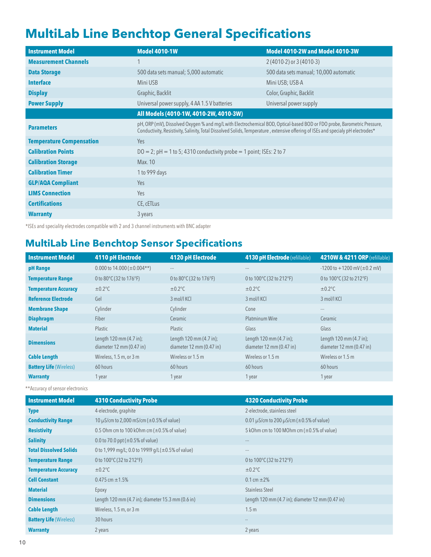#### **MultiLab Line Benchtop General Specifications**

| <b>Instrument Model</b>         | <b>Model 4010-1W</b>                                                                                                                                                                                                                                         | Model 4010-2W and Model 4010-3W        |  |
|---------------------------------|--------------------------------------------------------------------------------------------------------------------------------------------------------------------------------------------------------------------------------------------------------------|----------------------------------------|--|
| <b>Measurement Channels</b>     | 1                                                                                                                                                                                                                                                            | $2(4010-2)$ or $3(4010-3)$             |  |
| <b>Data Storage</b>             | 500 data sets manual; 5,000 automatic                                                                                                                                                                                                                        | 500 data sets manual; 10,000 automatic |  |
| <b>Interface</b>                | Mini USB                                                                                                                                                                                                                                                     | Mini USB; USB-A                        |  |
| <b>Display</b>                  | Graphic, Backlit                                                                                                                                                                                                                                             | Color, Graphic, Backlit                |  |
| <b>Power Supply</b>             | Universal power supply, 4 AA 1.5 V batteries                                                                                                                                                                                                                 | Universal power supply                 |  |
|                                 | All Models (4010-1W, 4010-2W, 4010-3W)                                                                                                                                                                                                                       |                                        |  |
| <b>Parameters</b>               | pH, ORP (mV), Dissolved Oxygen % and mg/L with Electrochemical BOD, Optical-based BOD or FDO probe, Barometric Pressure,<br>Conductivity, Resistivity, Salinity, Total Dissolved Solids, Temperature, extensive offering of ISEs and specialy pH electrodes* |                                        |  |
| <b>Temperature Compensation</b> | Yes                                                                                                                                                                                                                                                          |                                        |  |
| <b>Calibration Points</b>       | $DO = 2$ ; $pH = 1$ to 5; 4310 conductivity probe = 1 point; ISEs: 2 to 7                                                                                                                                                                                    |                                        |  |
| <b>Calibration Storage</b>      | Max. 10                                                                                                                                                                                                                                                      |                                        |  |
| <b>Calibration Timer</b>        | 1 to 999 days                                                                                                                                                                                                                                                |                                        |  |
| <b>GLP/AQA Compliant</b>        | Yes                                                                                                                                                                                                                                                          |                                        |  |
| <b>LIMS Connection</b>          | Yes                                                                                                                                                                                                                                                          |                                        |  |
| <b>Certifications</b>           | CE, cETLus                                                                                                                                                                                                                                                   |                                        |  |
| <b>Warranty</b>                 | 3 years                                                                                                                                                                                                                                                      |                                        |  |

\*ISEs and speciality electrodes compatible with 2 and 3 channel instruments with BNC adapter

#### **MultiLab Line Benchtop Sensor Specifications**

| <b>Instrument Model</b>        | <b>4110 pH Electrode</b>                            | 4120 pH Electrode                                   | <b>4130 pH Electrode</b> (refillable)                                 | 4210W & 4211 ORP (refillable)                       |
|--------------------------------|-----------------------------------------------------|-----------------------------------------------------|-----------------------------------------------------------------------|-----------------------------------------------------|
| pH Range                       | 0.000 to $14.000 \, (\pm 0.004**)$                  | $---$                                               | $---$                                                                 | $-1200$ to $+1200$ mV ( $\pm$ 0.2 mV)               |
| <b>Temperature Range</b>       | 0 to 80°C (32 to 176°F)                             | 0 to $80^{\circ}$ C(32 to 176 $^{\circ}$ F)         | 0 to 100°C (32 to 212°F)                                              | 0 to 100°C (32 to 212°F)                            |
| <b>Temperature Accuracy</b>    | $\pm 0.2$ °C                                        | $\pm 0.2$ °C                                        | $\pm 0.2$ °C                                                          | $\pm 0.2$ °C                                        |
| <b>Reference Electrode</b>     | Gel                                                 | 3 mol/l KCl                                         | 3 mol/l KCl                                                           | 3 mol/l KCl                                         |
| <b>Membrane Shape</b>          | Cylinder                                            | Cylinder                                            | Cone                                                                  | $\cdots$                                            |
| <b>Diaphragm</b>               | Fiber                                               | Ceramic                                             | Platminum Wire                                                        | Ceramic                                             |
| <b>Material</b>                | Plastic                                             | Plastic                                             | Glass                                                                 | Glass                                               |
| <b>Dimensions</b>              | Length 120 mm (4.7 in);<br>diameter 12 mm (0.47 in) | Length 120 mm (4.7 in);<br>diameter 12 mm (0.47 in) | Length 120 mm (4.7 in);<br>diameter $12 \text{ mm} (0.47 \text{ in})$ | Length 120 mm (4.7 in);<br>diameter 12 mm (0.47 in) |
| <b>Cable Length</b>            | Wireless, 1.5 m, or 3 m                             | Wireless or 1.5 m                                   | Wireless or 1.5 m                                                     | Wireless or 1.5 m                                   |
| <b>Battery Life (Wireless)</b> | 60 hours                                            | 60 hours                                            | 60 hours                                                              | 60 hours                                            |
| <b>Warranty</b>                | 1 year                                              | 1 year                                              | 1 year                                                                | 1 year                                              |

\*\* Accuracy of sensor electronics

| Instrument Model               | <b>4310 Conductivity Probe</b>                      | <b>4320 Conductivity Probe</b>                   |
|--------------------------------|-----------------------------------------------------|--------------------------------------------------|
| <b>Type</b>                    | 4-electrode, graphite                               | 2-electrode, stainless steel                     |
| <b>Conductivity Range</b>      | 10 $\mu$ S/cm to 2,000 mS/cm ( $\pm$ 0.5% of value) | 0.01 µS/cm to 200 µS/cm ( $\pm$ 0.5% of value)   |
| <b>Resistivity</b>             | 0.5 Ohm cm to 100 kOhm cm $(\pm 0.5\%$ of value)    | 5 kOhm cm to 100 MOhm cm $(\pm 0.5\%$ of value)  |
| <b>Salinity</b>                | 0.0 to 70.0 ppt ( $\pm$ 0.5% of value)              | $---$                                            |
| <b>Total Dissolved Solids</b>  | 0 to 1,999 mg/L; 0.0 to 199l9 g/L (±0.5% of value)  | $---$                                            |
| <b>Temperature Range</b>       | 0 to 100°C (32 to 212°F)                            | 0 to $100^{\circ}$ C (32 to $212^{\circ}$ F)     |
| <b>Temperature Accuracy</b>    | $\pm 0.2$ °C                                        | $\pm 0.2$ °C                                     |
| <b>Cell Constant</b>           | 0.475 cm $\pm$ 1.5%                                 | 0.1 cm $\pm 2\%$                                 |
| <b>Material</b>                | Epoxy                                               | <b>Stainless Steel</b>                           |
| <b>Dimensions</b>              | Length 120 mm (4.7 in); diameter 15.3 mm (0.6 in)   | Length 120 mm (4.7 in); diameter 12 mm (0.47 in) |
| <b>Cable Length</b>            | Wireless, 1.5 m, or 3 m                             | 1.5 <sub>m</sub>                                 |
| <b>Battery Life (Wireless)</b> | 30 hours                                            | $\overline{\phantom{a}}$                         |
| <b>Warranty</b>                | 2 years                                             | 2 years                                          |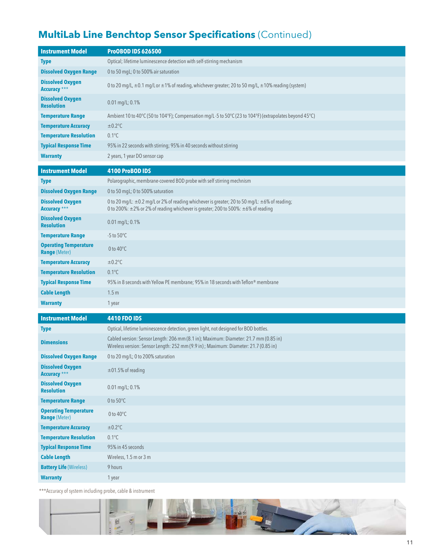#### **MultiLab Line Benchtop Sensor Specifications** (Continued)

| <b>Instrument Model</b>                              | <b>ProOBOD IDS 626500</b>                                                                                                                                                                              |
|------------------------------------------------------|--------------------------------------------------------------------------------------------------------------------------------------------------------------------------------------------------------|
| <b>Type</b>                                          | Optical; lifetime luminescence detection with self-stirring mechanism                                                                                                                                  |
| <b>Dissolved Oxygen Range</b>                        | 0 to 50 mgL; 0 to 500% air saturation                                                                                                                                                                  |
| <b>Dissolved Oxygen</b><br><b>Accuracy</b> ***       | 0 to 20 mg/L, ±0.1 mg/L or ±1% of reading, whichever greater; 20 to 50 mg/L, ±10% reading (system)                                                                                                     |
| <b>Dissolved Oxygen</b><br><b>Resolution</b>         | 0.01 mg/L; 0.1%                                                                                                                                                                                        |
| <b>Temperature Range</b>                             | Ambient 10 to 40 $^{\circ}$ C (50 to 104 $^{\circ}$ F); Compensation mg/L-5 to 50 $^{\circ}$ C (23 to 104 $^{\circ}$ F) (extrapolates beyond 45 $^{\circ}$ C)                                          |
| <b>Temperature Accuracy</b>                          | $\pm 0.2$ °C                                                                                                                                                                                           |
| <b>Temperature Resolution</b>                        | $0.1^{\circ}$ C                                                                                                                                                                                        |
| <b>Typical Response Time</b>                         | 95% in 22 seconds with stirring; 95% in 40 seconds without stirring                                                                                                                                    |
| <b>Warranty</b>                                      | 2 years, 1 year DO sensor cap                                                                                                                                                                          |
| <b>Instrument Model</b>                              | 4100 ProBOD IDS                                                                                                                                                                                        |
| <b>Type</b>                                          | Polarographic, membrane-covered BOD probe with self stirring mechnism                                                                                                                                  |
| <b>Dissolved Oxygen Range</b>                        | 0 to 50 mgL; 0 to 500% saturation                                                                                                                                                                      |
| <b>Dissolved Oxygen</b><br><b>Accuracy</b> ***       | 0 to 20 mg/L: $\pm$ 0.2 mg/L or 2% of reading whichever is greater; 20 to 50 mg/L: $\pm$ 6% of reading;<br>0 to 200%: $\pm$ 2% or 2% of reading whichever is greater; 200 to 500%: $\pm$ 6% of reading |
| <b>Dissolved Oxygen</b><br><b>Resolution</b>         | $0.01 \,\mathrm{mg/L}$ ; 0.1%                                                                                                                                                                          |
| <b>Temperature Range</b>                             | $-5$ to $50^{\circ}$ C                                                                                                                                                                                 |
| <b>Operating Temperature</b><br><b>Range (Meter)</b> | 0 to $40^{\circ}$ C                                                                                                                                                                                    |
| <b>Temperature Accuracy</b>                          | $\pm 0.2$ °C                                                                                                                                                                                           |
| <b>Temperature Resolution</b>                        | $0.1^{\circ}$ C                                                                                                                                                                                        |
| <b>Typical Response Time</b>                         | 95% in 8 seconds with Yellow PE membrane; 95% in 18 seconds with Teflon® membrane                                                                                                                      |
| <b>Cable Length</b>                                  | 1.5 <sub>m</sub>                                                                                                                                                                                       |
| <b>Warranty</b>                                      | 1 year                                                                                                                                                                                                 |
| <b>Instrument Model</b>                              | <b>4410 FDO IDS</b>                                                                                                                                                                                    |
| <b>Type</b>                                          | Optical, lifetime luminescence detection, green light, not designed for BOD bottles.                                                                                                                   |
| <b>Dimensions</b>                                    | Cabled version: Sensor Length: 206 mm (8.1 in); Maximum: Diameter: 21.7 mm (0.85 in)<br>Wireless version: Sensor Length: 252 mm (9.9 in); Maximum: Diameter: 21.7 (0.85 in)                            |
| <b>Dissolved Oxygen Range</b>                        | 0 to 20 mg/L; 0 to 200% saturation                                                                                                                                                                     |
| <b>Dissolved Oxygen</b><br><b>Accuracy</b> ***       | $\pm$ 01.5% of reading                                                                                                                                                                                 |
| <b>Dissolved Oxygen</b><br><b>Resolution</b>         | 0.01 mg/L; 0.1%                                                                                                                                                                                        |
| <b>Temperature Range</b>                             | 0 to $50^{\circ}$ C                                                                                                                                                                                    |
| <b>Operating Temperature</b><br><b>Range (Meter)</b> | 0 to 40°C                                                                                                                                                                                              |
| <b>Temperature Accuracy</b>                          | $\pm 0.2$ °C                                                                                                                                                                                           |
| <b>Temperature Resolution</b>                        | $0.1^{\circ}C$                                                                                                                                                                                         |
| <b>Typical Response Time</b>                         | 95% in 45 seconds                                                                                                                                                                                      |
| <b>Cable Length</b>                                  | Wireless, 1.5 m or 3 m                                                                                                                                                                                 |
| <b>Battery Life (Wireless)</b>                       | 9 hours                                                                                                                                                                                                |
| <b>Warranty</b>                                      | 1 year                                                                                                                                                                                                 |

\*\*\*Accuracy of system including probe, cable & instrument